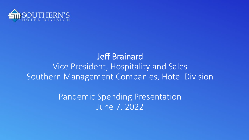

#### Jeff Brainard Vice President, Hospitality and Sales Southern Management Companies, Hotel Division

Pandemic Spending Presentation June 7, 2022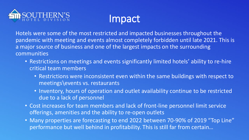



Hotels were some of the most restricted and impacted businesses throughout the pandemic with meeting and events almost completely forbidden until late 2021. This is a major source of business and one of the largest impacts on the surrounding communities

- Restrictions on meetings and events significantly limited hotels' ability to re-hire critical team members
	- Restrictions were inconsistent even within the same buildings with respect to meetings\events vs. restaurants
	- Inventory, hours of operation and outlet availability continue to be restricted due to a lack of personnel
- Cost increases for team members and lack of front-line personnel limit service offerings, amenities and the ability to re-open outlets
- Many properties are forecasting to end 2022 between 70-90% of 2019 "Top Line" performance but well behind in profitability. This is still far from certain…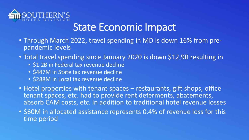

# State Economic Impact

- Through March 2022, travel spending in MD is down 16% from pre- pandemic levels
- Total travel spending since January 2020 is down \$12.9B resulting in
	- \$1.2B in Federal tax revenue decline
	- \$447M in State tax revenue decline
	- \$288M in Local tax revenue decline
- Hotel properties with tenant spaces restaurants, gift shops, office tenant spaces, etc. had to provide rent deferments, abatements, absorb CAM costs, etc. in addition to traditional hotel revenue losses
- \$60M in allocated assistance represents 0.4% of revenue loss for this time period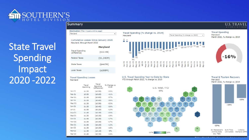

**State Travel** Spending Impact 2020 -2022

#### Summary

#### **Destination** (filter impacts entire page) Maryland

Cumulative Losses Since January 2020 Maryland, through March 2022

 $\star$ 

| <b>Maryland</b> |  |
|-----------------|--|
| ( \$12.9B)      |  |
| (\$1,240M)      |  |
| (5447M)         |  |
| ( \$288M)       |  |
|                 |  |

#### **Travel Spending Losses** Maryland

|           | Travel<br>Spending | Travel<br>Spending<br>(difference) | % Change vs<br>2019 |
|-----------|--------------------|------------------------------------|---------------------|
| $lnn-21$  | \$1.08             | (50.5B)                            | $-33%$              |
| $Feb-21$  | \$0.9B             | (50.6B)                            | $-41%$              |
| Mar-21    | \$1.1B             | (50.6B)                            | $-37%$              |
| Apr-21    | \$1.08             | (50.6B)                            | $-36%$              |
| $May-21$  | \$1.2B             | (50.5B)                            | $-32%$              |
| $Jun-21$  | \$1,3B             | (50.4B)                            | $-26%$              |
| $ u -21$  | \$1,5B             | (50.28)                            | $-13%$              |
| Aug- $21$ | \$1.4B             | (50.3B)                            | $-20%$              |
| $Sep-21$  | \$1,3B             | (50.3B)                            | $-19%$              |
| $Oct-21$  | \$1.4B             | (50.3B)                            | $-17%$              |
| $Now-21$  | \$1.3B             | (50.3B)                            | $-1796$             |
| $Dec-21$  | \$1.48             | (50.2B)                            | $-12%$              |
| $lan-22$  | \$1.3B             | (50.2B)                            | $-16%$              |
| Feb-22    | \$1,38             | (S0.1B)                            | $-9%$               |
| $Mar-22$  | <b>41.4R</b>       | (60.3R)                            | $-1696$             |





#### **U.S. TRAVE**

16%





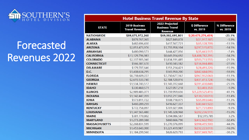

# Forecasted Revenues 2022

| <b>Hotel Business Travel Revenue By State</b> |                                        |                                                            |                           |                          |  |  |  |
|-----------------------------------------------|----------------------------------------|------------------------------------------------------------|---------------------------|--------------------------|--|--|--|
| <b>STATE</b>                                  | 2019 Business<br><b>Travel Revenue</b> | 2022 Projected<br><b>Business Travel</b><br><b>Revenue</b> | \$ Difference<br>vs. 2019 | % Difference<br>vs. 2019 |  |  |  |
| <b>NATIONWIDE</b>                             | \$89,675,972,260                       | \$69,002,695,801                                           | \$(20, 673, 276, 459)     | $-23.1%$                 |  |  |  |
| <b>ALABAMA</b>                                | \$879,767,065                          | \$827,849,878                                              | \$(51, 917, 187)          | $-5.9%$                  |  |  |  |
| <b>ALASKA</b>                                 | \$482,696,430                          | \$417,567,721                                              | \$(65, 128, 709)          | $-13.5%$                 |  |  |  |
| <b>ARIZONA</b>                                | \$2,053,473,976                        | \$1,755,958,104                                            | \$(297,515,872)           | $-14.5%$                 |  |  |  |
| <b>ARKANSAS</b>                               | \$480,090,573                          | \$444,427,056                                              | $$$ (35,663,517)          | $-7.4%$                  |  |  |  |
| <b>CALIFORNIA</b>                             | \$13,129,796,983                       | \$8,641,014,692                                            | \$(4,488,782,291)         | $-34.2%$                 |  |  |  |
| <b>COLORADO</b>                               | \$2,337,905,040                        | \$1,834,191,485                                            | \$(503,713,555)           | $-21.5%$                 |  |  |  |
| <b>CONNECTICUT</b>                            | \$566,387,670                          | \$410,343,182                                              | \$(156,044,488)           | $-27.6%$                 |  |  |  |
| <b>DELAWARE</b>                               | \$179,707,646                          | \$151,214,421                                              | \$(28,493,226)            | $-15.9%$                 |  |  |  |
| D.C.                                          | \$1,408,634,295                        | \$565,950,200                                              | \$(842, 684, 095)         | $-59.8%$                 |  |  |  |
| <b>FLORIDA</b>                                | \$8,718,609,227                        | \$7,750,677,167                                            | \$(967,932,060)           | $-11.1%$                 |  |  |  |
| <b>GEORGIA</b>                                | \$2,615,533,740                        | \$2,184,120,016                                            | \$(431,413,724)           | $-16.5%$                 |  |  |  |
| <b>HAWAII</b>                                 | \$1,534,743,517                        | \$1,143,312,668                                            | $$$ (391,430,848)         | $-25.5%$                 |  |  |  |
| <b>IDAHO</b>                                  | \$330,460,571                          | \$327,057,218                                              | \$(3,403,353)             | $-1.0%$                  |  |  |  |
| <b>ILLINOIS</b>                               | \$2,989,485,071                        | \$1,759,959,656                                            | \$(1,229,525,415)         | $-41.1%$                 |  |  |  |
| <b>INDIANA</b>                                | \$1,142,447,059                        | \$1,012,217,046                                            | \$(130,230,013)           | $-11.4%$                 |  |  |  |
| <b>IOWA</b>                                   | \$573,811,722                          | \$508,718,075                                              | \$(65,093,646)            | $-11.3%$                 |  |  |  |
| <b>KANSAS</b>                                 | \$460,289,259                          | \$416,627,337                                              | \$(43,661,922)            | $-9.5%$                  |  |  |  |
| <b>KENTUCKY</b>                               | \$772,758,897                          | \$701,027,006                                              | \$(71,731,890)            | $-9.3%$                  |  |  |  |
| <b>LOUISIANA</b>                              | \$1,347,565,480                        | \$1,145,328,968                                            | \$(202, 236, 511)         | $-15.0%$                 |  |  |  |
| <b>MAINE</b>                                  | \$381,770,802                          | \$394,086,587                                              | \$12,315,785              | 3.2%                     |  |  |  |
| <b>MARYLAND</b>                               | \$1,273,289,388                        | \$860,666,796                                              | \$(412,622,592)           | $-32.4%$                 |  |  |  |
| <b>MASSACHUSETTS</b>                          | \$2,268,831,599                        | \$1,270,376,099                                            | \$(998,455,500)           | $-44.0%$                 |  |  |  |
| <b>MICHIGAN</b>                               | \$1,453,643,000                        | \$1,221,419,987                                            | \$(232,223,013)           | $-16.0%$                 |  |  |  |
| <b>MINNESOTA</b>                              | \$1,184,299,560                        | \$826,629,793                                              | \$(357,669,767)           | $-30.2%$                 |  |  |  |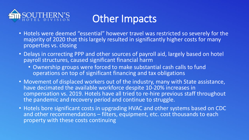

# Other Impacts

- Hotels were deemed "essential" however travel was restricted so severely for the majority of 2020 that this largely resulted in significantly higher costs for many properties vs. closing
- Delays in correcting PPP and other sources of payroll aid, largely based on hotel payroll structures, caused significant financial harm
	- Ownership groups were forced to make substantial cash calls to fund operations on top of significant financing and tax obligations
- Movement of displaced workers out of the industry, many with State assistance, have decimated the available workforce despite 10-20% increases in compensation vs. 2019. Hotels have all tried to re-hire previous staff throughout the pandemic and recovery period and continue to struggle.
- Hotels bore significant costs in upgrading HVAC and other systems based on CDC and other recommendations - filters, equipment, etc. cost thousands to each property with these costs continuing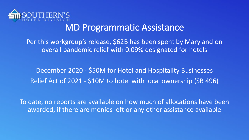

#### MD Programmatic Assistance

Per this workgroup's release, \$62B has been spent by Maryland on overall pandemic relief with 0.09% designated for hotels

December 2020 - \$50M for Hotel and Hospitality Businesses Relief Act of 2021 - \$10M to hotel with local ownership (SB 496)

To date, no reports are available on how much of allocations have been awarded, if there are monies left or any other assistance available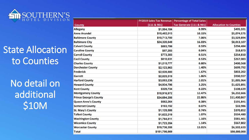

## State Allocation to Counties

No detail on additional \$10M

|                               | <b>FY2019 Sales Tax Revenue</b> | <b>Percentage of Total Sales</b>    |                               |
|-------------------------------|---------------------------------|-------------------------------------|-------------------------------|
| <b>County</b>                 | (111 & 8901)                    | <b>Tax Generate (111 &amp; 901)</b> | <b>Allocation to Counties</b> |
| <b>Allegany</b>               | \$1,504,184                     | 0.99%                               | \$495,591                     |
| <b>Anne Arundel</b>           | \$15,402,013                    | 10.15%                              | \$5,074,575                   |
| <b>Baltimore County</b>       | \$10,713,700                    | 7.06%                               | \$3,529,894                   |
| <b>Baltimore City</b>         | \$24,320,849                    | 16.03%                              | \$8,013,107                   |
| <b>Calvert County</b>         | \$893,799                       | 0.59%                               | \$294,484                     |
| <b>Caroline County</b>        | \$57,283                        | 0.04%                               | \$18,873                      |
| <b>Carroll County</b>         | \$773,383                       | 0.51%                               | \$254,810                     |
| <b>Cecil County</b>           | \$810,631                       | 0.53%                               | \$267,083                     |
| <b>Charles County</b>         | \$1,215,777                     | 0.80%                               | \$400,568                     |
| <b>Dorchester County</b>      | \$2,123,963                     | 1.40%                               | \$699,792                     |
| <b>Frederick</b>              | \$2,528,880                     | 1.67%                               | \$833,202                     |
| <b>Garrett</b>                | \$2,825,519                     | 1.86%                               | \$930,937                     |
| <b>Harford County</b>         | \$3,053,236                     | 2.01%                               | \$1,005,964                   |
| <b>Howard County</b>          | \$4,934,796                     | 3.25%                               | \$1,625,891                   |
| <b>Kent County</b>            | \$329,734                       | 0.22%                               | \$108,639                     |
| <b>Montgomery County</b>      | \$18,916,972                    | 12.47%                              | \$6,232,666                   |
| <b>Prince George's County</b> | \$34,694,206                    | 22.86%                              | \$11,430,867                  |
| <b>Queen Anne's County</b>    | \$582,264                       | 0.38%                               | \$191,841                     |
| <b>Somerset County</b>        | \$103,152                       | 0.07%                               | \$33,986                      |
| <b>St. Mary's County</b>      | \$1,125,586                     | 0.74%                               | \$370,852                     |
| <b>Talbot County</b>          | \$1,622,219                     | 1.07%                               | \$534,480                     |
| <b>Washington County</b>      | \$1,764,811                     | 1.16%                               | \$581,461                     |
| <b>Wicomico County</b>        | \$1,723,354                     | 1.14%                               | \$567,802                     |
| <b>Worcester County</b>       | \$19,736,358                    | 13.01%                              | \$6,502,633                   |
| <b>Total</b>                  | \$151,756,669                   |                                     | \$50,000,000                  |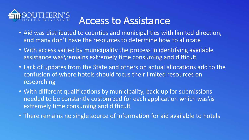

# Access to Assistance

- Aid was distributed to counties and municipalities with limited direction, and many don't have the resources to determine how to allocate
- With access varied by municipality the process in identifying available assistance was\remains extremely time consuming and difficult
- Lack of updates from the State and others on actual allocations add to the confusion of where hotels should focus their limited resources on researching
- With different qualifications by municipality, back-up for submissions needed to be constantly customized for each application which was\is extremely time consuming and difficult
- There remains no single source of information for aid available to hotels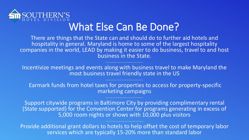

## What Else Can Be Done?

There are things that the State can and should do to further aid hotels and hospitality in general. Maryland is home to some of the largest hospitality companies in the world, LEAD by making it easier to do business, travel to and host business in the State.

Incentivize meetings and events along with business travel to make Maryland the most business travel friendly state in the US

Earmark funds from hotel taxes for properties to access for property-specific marketing campaigns

Support citywide programs in Baltimore City by providing complimentary rental (State supported) for the Convention Center for programs generating in excess of 5,000 room nights or shows with 10,000 plus visitors

Provide additional grant dollars to hotels to help offset the cost of temporary labor services which are typically 15-20% more than standard labor